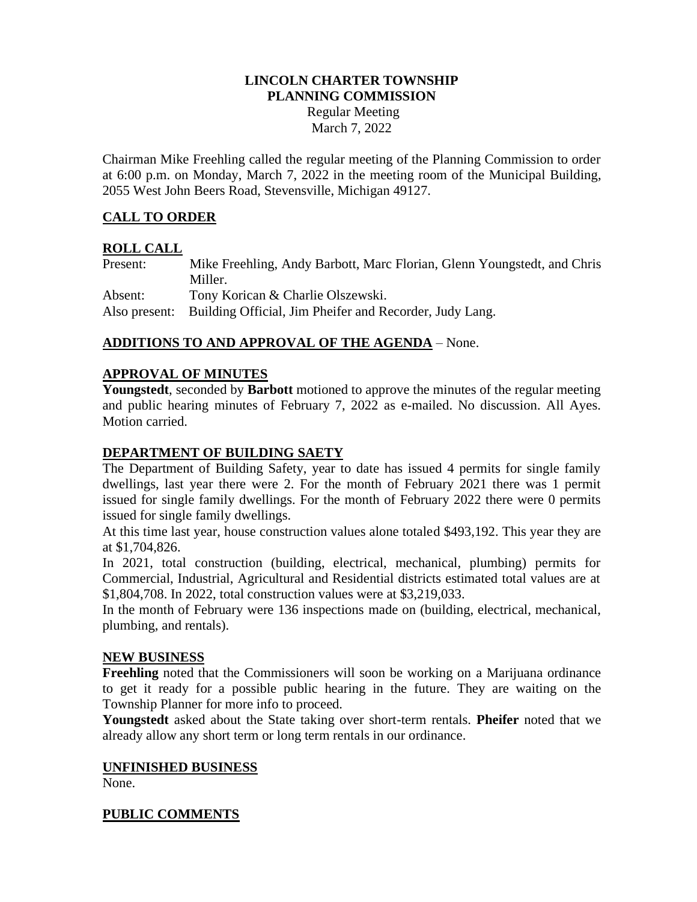## **LINCOLN CHARTER TOWNSHIP PLANNING COMMISSION**

Regular Meeting March 7, 2022

Chairman Mike Freehling called the regular meeting of the Planning Commission to order at 6:00 p.m. on Monday, March 7, 2022 in the meeting room of the Municipal Building, 2055 West John Beers Road, Stevensville, Michigan 49127.

# **CALL TO ORDER**

## **ROLL CALL**

Present: Mike Freehling, Andy Barbott, Marc Florian, Glenn Youngstedt, and Chris Miller. Absent: Tony Korican & Charlie Olszewski.

Also present: Building Official, Jim Pheifer and Recorder, Judy Lang.

# **ADDITIONS TO AND APPROVAL OF THE AGENDA** – None.

# **APPROVAL OF MINUTES**

**Youngstedt**, seconded by **Barbott** motioned to approve the minutes of the regular meeting and public hearing minutes of February 7, 2022 as e-mailed. No discussion. All Ayes. Motion carried.

# **DEPARTMENT OF BUILDING SAETY**

The Department of Building Safety, year to date has issued 4 permits for single family dwellings, last year there were 2. For the month of February 2021 there was 1 permit issued for single family dwellings. For the month of February 2022 there were 0 permits issued for single family dwellings.

At this time last year, house construction values alone totaled \$493,192. This year they are at \$1,704,826.

In 2021, total construction (building, electrical, mechanical, plumbing) permits for Commercial, Industrial, Agricultural and Residential districts estimated total values are at \$1,804,708. In 2022, total construction values were at \$3,219,033.

In the month of February were 136 inspections made on (building, electrical, mechanical, plumbing, and rentals).

#### **NEW BUSINESS**

**Freehling** noted that the Commissioners will soon be working on a Marijuana ordinance to get it ready for a possible public hearing in the future. They are waiting on the Township Planner for more info to proceed.

**Youngstedt** asked about the State taking over short-term rentals. **Pheifer** noted that we already allow any short term or long term rentals in our ordinance.

#### **UNFINISHED BUSINESS**

None.

#### **PUBLIC COMMENTS**